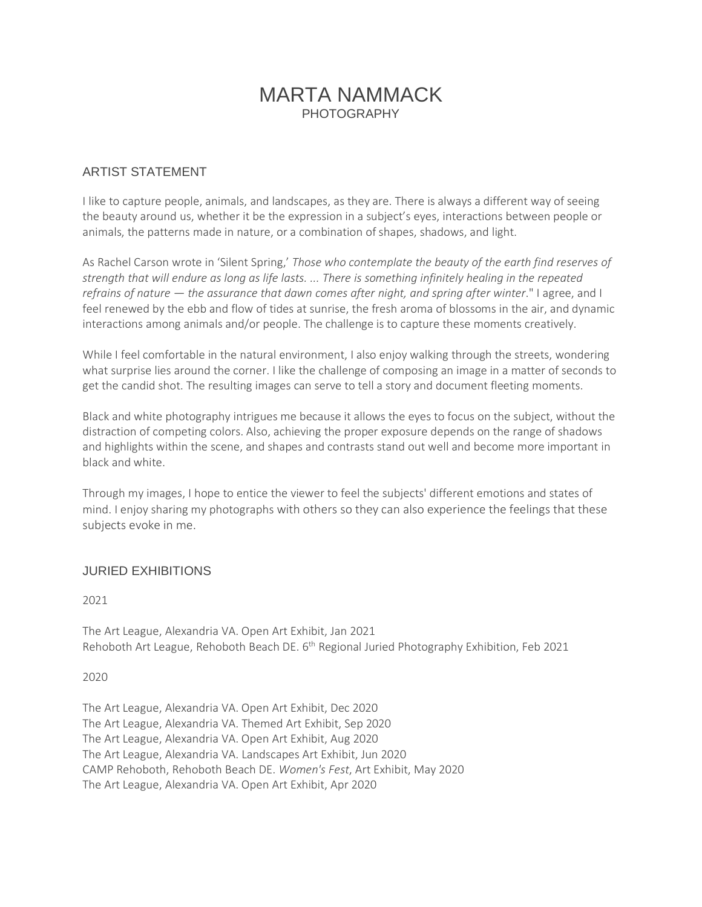# MARTA NAMMACK **PHOTOGRAPHY**

### ARTIST STATEMENT

I like to capture people, animals, and landscapes, as they are. There is always a different way of seeing the beauty around us, whether it be the expression in a subject's eyes, interactions between people or animals, the patterns made in nature, or a combination of shapes, shadows, and light.

As Rachel Carson wrote in 'Silent Spring,' *Those who contemplate the beauty of the earth find reserves of* strength that will endure as long as life lasts. ... There is something infinitely healing in the repeated *refrains of nature — the assurance that dawn comes after night, and spring after winter*." I agree, and I feel renewed by the ebb and flow of tides at sunrise, the fresh aroma of blossoms in the air, and dynamic interactions among animals and/or people. The challenge is to capture these moments creatively.

While I feel comfortable in the natural environment, I also enjoy walking through the streets, wondering what surprise lies around the corner. I like the challenge of composing an image in a matter of seconds to get the candid shot. The resulting images can serve to tell a story and document fleeting moments.

Black and white photography intrigues me because it allows the eyes to focus on the subject, without the distraction of competing colors. Also, achieving the proper exposure depends on the range of shadows and highlights within the scene, and shapes and contrasts stand out well and become more important in black and white.

Through my images, I hope to entice the viewer to feel the subjects' different emotions and states of mind. I enjoy sharing my photographs with others so they can also experience the feelings that these subjects evoke in me.

### JURIED EXHIBITIONS

2021

The Art League, Alexandria VA. Open Art Exhibit, Jan 2021 Rehoboth Art League, Rehoboth Beach DE. 6<sup>th</sup> Regional Juried Photography Exhibition, Feb 2021

2020

The Art League, Alexandria VA. Open Art Exhibit, Dec 2020 The Art League, Alexandria VA. Themed Art Exhibit, Sep 2020 The Art League, Alexandria VA. Open Art Exhibit, Aug 2020 The Art League, Alexandria VA. Landscapes Art Exhibit, Jun 2020 CAMP Rehoboth, Rehoboth Beach DE. *Women's Fest*, Art Exhibit, May 2020 The Art League, Alexandria VA. Open Art Exhibit, Apr 2020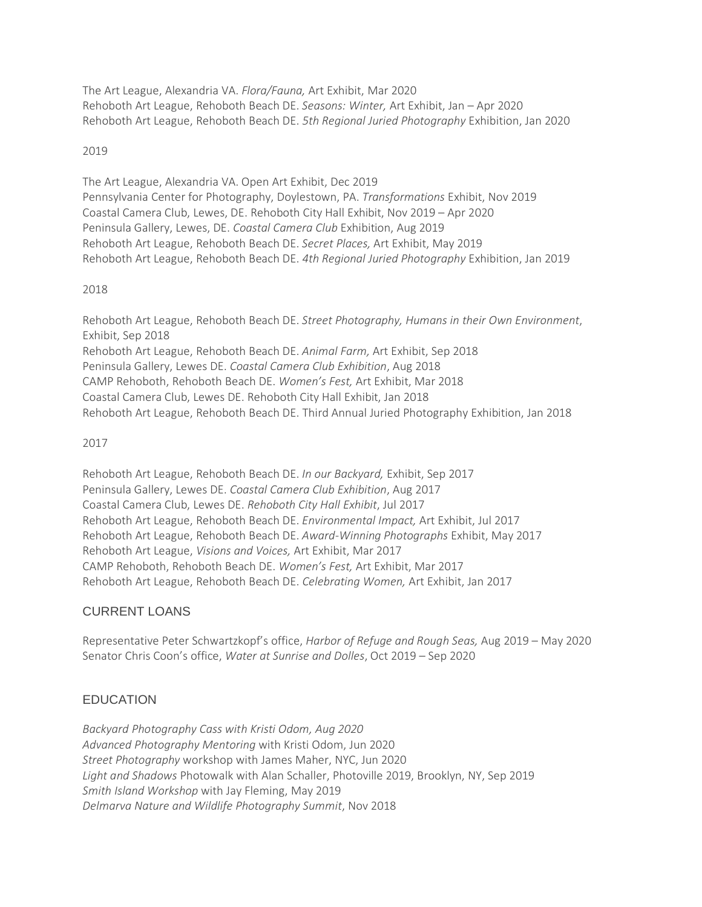The Art League, Alexandria VA. *Flora/Fauna,* Art Exhibit, Mar 2020 Rehoboth Art League, Rehoboth Beach DE. *Seasons: Winter,* Art Exhibit, Jan – Apr 2020 Rehoboth Art League, Rehoboth Beach DE. *5th Regional Juried Photography* Exhibition, Jan 2020

### 2019

The Art League, Alexandria VA. Open Art Exhibit, Dec 2019 Pennsylvania Center for Photography, Doylestown, PA. *Transformations* Exhibit, Nov 2019 Coastal Camera Club, Lewes, DE. Rehoboth City Hall Exhibit, Nov 2019 – Apr 2020 Peninsula Gallery, Lewes, DE. *Coastal Camera Club* Exhibition, Aug 2019 Rehoboth Art League, Rehoboth Beach DE. *Secret Places,* Art Exhibit, May 2019 Rehoboth Art League, Rehoboth Beach DE. *4th Regional Juried Photography* Exhibition, Jan 2019

### 2018

Rehoboth Art League, Rehoboth Beach DE. *Street Photography, Humans in their Own Environment*, Exhibit, Sep 2018 Rehoboth Art League, Rehoboth Beach DE. *Animal Farm,* Art Exhibit, Sep 2018 Peninsula Gallery, Lewes DE. *Coastal Camera Club Exhibition*, Aug 2018 CAMP Rehoboth, Rehoboth Beach DE. *Women's Fest,* Art Exhibit, Mar 2018 Coastal Camera Club, Lewes DE. Rehoboth City Hall Exhibit, Jan 2018 Rehoboth Art League, Rehoboth Beach DE. Third Annual Juried Photography Exhibition, Jan 2018

## 2017

Rehoboth Art League, Rehoboth Beach DE. *In our Backyard,* Exhibit, Sep 2017 Peninsula Gallery, Lewes DE. *Coastal Camera Club Exhibition*, Aug 2017 Coastal Camera Club, Lewes DE. *Rehoboth City Hall Exhibit*, Jul 2017 Rehoboth Art League, Rehoboth Beach DE. *Environmental Impact,* Art Exhibit, Jul 2017 Rehoboth Art League, Rehoboth Beach DE. *Award-Winning Photographs* Exhibit, May 2017 Rehoboth Art League, *Visions and Voices,* Art Exhibit, Mar 2017 CAMP Rehoboth, Rehoboth Beach DE. *Women's Fest,* Art Exhibit, Mar 2017 Rehoboth Art League, Rehoboth Beach DE. *Celebrating Women,* Art Exhibit, Jan 2017

# CURRENT LOANS

Representative Peter Schwartzkopf's office, *Harbor of Refuge and Rough Seas,* Aug 2019 – May 2020 Senator Chris Coon's office, *Water at Sunrise and Dolles*, Oct 2019 – Sep 2020

# **EDUCATION**

*Backyard Photography Cass with Kristi Odom, Aug 2020 Advanced Photography Mentoring* with Kristi Odom, Jun 2020 *Street Photography* workshop with James Maher, NYC, Jun 2020 *Light and Shadows* Photowalk with Alan Schaller, Photoville 2019, Brooklyn, NY, Sep 2019 *Smith Island Workshop* with Jay Fleming, May 2019 *Delmarva Nature and Wildlife Photography Summit*, Nov 2018